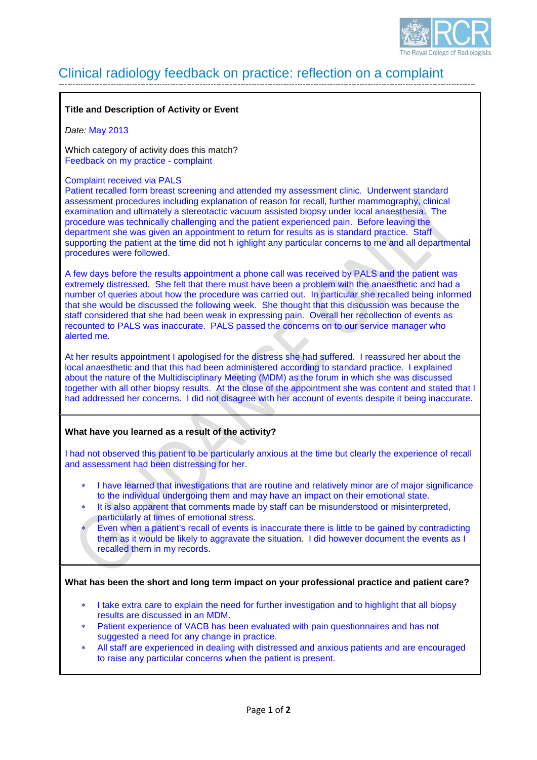

# Clinical radiology feedback on practice: reflection on a complaint

## **Title and Description of Activity or Event**

*Date:* May 2013

Which category of activity does this match? Feedback on my practice - complaint

#### Complaint received via PALS

Patient recalled form breast screening and attended my assessment clinic. Underwent standard assessment procedures including explanation of reason for recall, further mammography, clinical examination and ultimately a stereotactic vacuum assisted biopsy under local anaesthesia. The procedure was technically challenging and the patient experienced pain. Before leaving the department she was given an appointment to return for results as is standard practice. Staff supporting the patient at the time did not h ighlight any particular concerns to me and all departmental procedures were followed.

A few days before the results appointment a phone call was received by PALS and the patient was extremely distressed. She felt that there must have been a problem with the anaesthetic and had a number of queries about how the procedure was carried out. In particular she recalled being informed that she would be discussed the following week. She thought that this discussion was because the staff considered that she had been weak in expressing pain. Overall her recollection of events as recounted to PALS was inaccurate. PALS passed the concerns on to our service manager who alerted me.

At her results appointment I apologised for the distress she had suffered. I reassured her about the local anaesthetic and that this had been administered according to standard practice. I explained about the nature of the Multidisciplinary Meeting (MDM) as the forum in which she was discussed together with all other biopsy results. At the close of the appointment she was content and stated that I had addressed her concerns. I did not disagree with her account of events despite it being inaccurate.

### **What have you learned as a result of the activity?**

I had not observed this patient to be particularly anxious at the time but clearly the experience of recall and assessment had been distressing for her.

- I have learned that investigations that are routine and relatively minor are of major significance to the individual undergoing them and may have an impact on their emotional state.
- It is also apparent that comments made by staff can be misunderstood or misinterpreted, particularly at times of emotional stress.
- Even when a patient's recall of events is inaccurate there is little to be gained by contradicting them as it would be likely to aggravate the situation. I did however document the events as I recalled them in my records.

**What has been the short and long term impact on your professional practice and patient care?** 

- I take extra care to explain the need for further investigation and to highlight that all biopsy results are discussed in an MDM.
- Patient experience of VACB has been evaluated with pain questionnaires and has not suggested a need for any change in practice.
- All staff are experienced in dealing with distressed and anxious patients and are encouraged to raise any particular concerns when the patient is present.